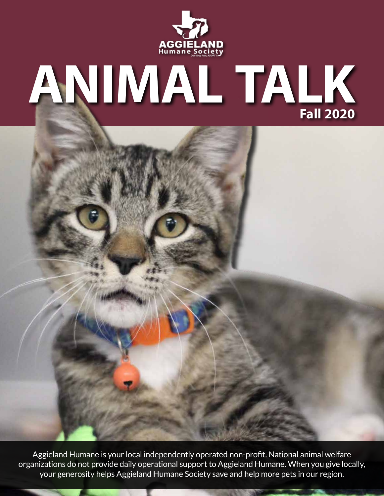

# **ANIMAL TALK Fall 2020**

Aggieland Humane is your local independently operated non-profit. National animal welfare organizations do not provide daily operational support to Aggieland Humane. When you give locally, your generosity helps Aggieland Humane Society save and help more pets in our region.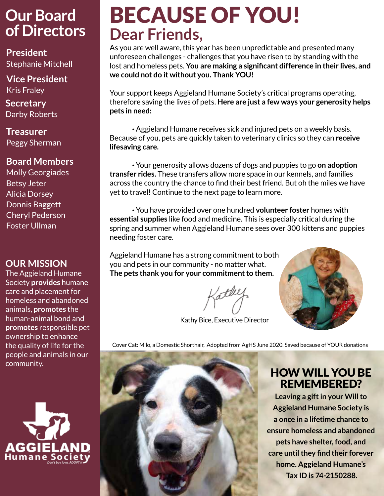### **Our Board of Directors**

**President** Stephanie Mitchell

**Vice President** Kris Fraley

**Secretary**  Darby Roberts

**Treasurer**  Peggy Sherman

#### **Board Members**

Molly Georgiades Betsy Jeter Alicia Dorsey Donnis Baggett Cheryl Pederson Foster Ullman

#### **OUR MISSION**

The Aggieland Humane Society **provides** humane care and placement for homeless and abandoned animals, **promotes** the human-animal bond and **promotes** responsible pet ownership to enhance the quality of life for the people and animals in our community.



# BECAUSE OF YOU! **Dear Friends,**

As you are well aware, this year has been unpredictable and presented many unforeseen challenges - challenges that you have risen to by standing with the lost and homeless pets. **You are making a significant difference in their lives, and we could not do it without you. Thank YOU!**

Your support keeps Aggieland Humane Society's critical programs operating, therefore saving the lives of pets. **Here are just a few ways your generosity helps pets in need:**

· Aggieland Humane receives sick and injured pets on a weekly basis. Because of you, pets are quickly taken to veterinary clinics so they can **receive lifesaving care.** 

· Your generosity allows dozens of dogs and puppies to go **on adoption transfer rides.** These transfers allow more space in our kennels, and families across the country the chance to find their best friend. But oh the miles we have yet to travel! Continue to the next page to learn more.

· You have provided over one hundred **volunteer foster** homes with **essential supplies** like food and medicine. This is especially critical during the spring and summer when Aggieland Humane sees over 300 kittens and puppies needing foster care.

Aggieland Humane has a strong commitment to both you and pets in our community - no matter what. **The pets thank you for your commitment to them.**

Kathy Bice, Executive Director



Cover Cat: Milo, a Domestic Shorthair, Adopted from AgHS June 2020. Saved because of YOUR donations



#### HOW WILL YOU BE REMEMBERED?

**Leaving a gift in your Will to Aggieland Humane Society is a once in a lifetime chance to ensure homeless and abandoned pets have shelter, food, and care until they find their forever home. Aggieland Humane's Tax ID is 74-2150288.**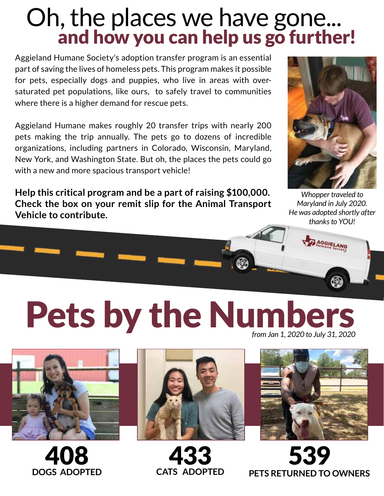# Oh, the places we have gone...<br>and how you can help us go further!

Aggieland Humane Society's adoption transfer program is an essential part of saving the lives of homeless pets. This program makes it possible for pets, especially dogs and puppies, who live in areas with oversaturated pet populations, like ours, to safely travel to communities where there is a higher demand for rescue pets.

Aggieland Humane makes roughly 20 transfer trips with nearly 200 pets making the trip annually. The pets go to dozens of incredible organizations, including partners in Colorado, Wisconsin, Maryland, New York, and Washington State. But oh, the places the pets could go with a new and more spacious transport vehicle!

**Help this critical program and be a part of raising \$100,000. Check the box on your remit slip for the Animal Transport Vehicle to contribute.**



*Whopper traveled to Maryland in July 2020. He was adopted shortly after thanks to YOU!*

# Pets by the Numbers *from Jan 1, 2020 to July 31, 2020*



408 **DOGS ADOPTED**



433 **CATS ADOPTED**



539 **PETS RETURNED TO OWNERS**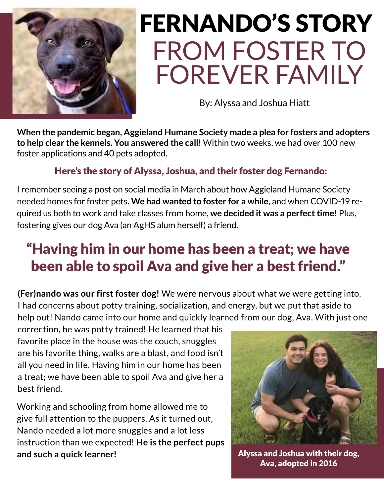

# FROM FOSTER TO FOREVER FAMILY FERNANDO'S STORY

By: Alyssa and Joshua Hiatt

**When the pandemic began, Aggieland Humane Society made a plea for fosters and adopters to help clear the kennels. You answered the call!** Within two weeks, we had over 100 new foster applications and 40 pets adopted.

#### Here's the story of Alyssa, Joshua, and their foster dog Fernando:

I remember seeing a post on social media in March about how Aggieland Humane Society needed homes for foster pets. **We had wanted to foster for a while**, and when COVID-19 required us both to work and take classes from home, **we decided it was a perfect time!** Plus, fostering gives our dog Ava (an AgHS alum herself) a friend.

## "Having him in our home has been a treat; we have been able to spoil Ava and give her a best friend."

**(Fer)nando was our first foster dog!** We were nervous about what we were getting into. I had concerns about potty training, socialization, and energy, but we put that aside to help out! Nando came into our home and quickly learned from our dog, Ava. With just one

correction, he was potty trained! He learned that his favorite place in the house was the couch, snuggles are his favorite thing, walks are a blast, and food isn't all you need in life. Having him in our home has been a treat; we have been able to spoil Ava and give her a best friend.

Working and schooling from home allowed me to give full attention to the puppers. As it turned out, Nando needed a lot more snuggles and a lot less instruction than we expected! **He is the perfect pups and such a quick learner!** 



Alyssa and Joshua with their dog, Ava, adopted in 2016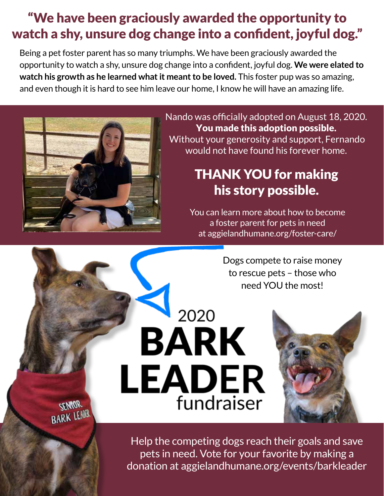#### "We have been graciously awarded the opportunity to watch a shy, unsure dog change into a confident, joyful dog."

Being a pet foster parent has so many triumphs. We have been graciously awarded the opportunity to watch a shy, unsure dog change into a confident, joyful dog. **We were elated to watch his growth as he learned what it meant to be loved.** This foster pup was so amazing, and even though it is hard to see him leave our home, I know he will have an amazing life.

2020

**BARK** 

**LEADER** 

fundraiser



**CEMOR BARK LEAR**  Nando was officially adopted on August 18, 2020. You made this adoption possible. Without your generosity and support, Fernando would not have found his forever home.

### THANK YOU for making his story possible.

You can learn more about how to become a foster parent for pets in need at aggielandhumane.org/foster-care/

> Dogs compete to raise money to rescue pets – those who need YOU the most!

Help the competing dogs reach their goals and save pets in need. Vote for your favorite by making a donation at aggielandhumane.org/events/barkleader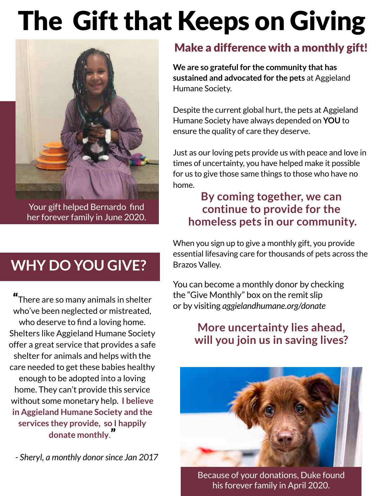# The Gift that Keeps on Giving



Your gift helped Bernardo find her forever family in June 2020.

### **WHY DO YOU GIVE?**

"There are so many animals in shelter who've been neglected or mistreated, who deserve to find a loving home. Shelters like Aggieland Humane Society offer a great service that provides a safe shelter for animals and helps with the care needed to get these babies healthy enough to be adopted into a loving home. They can't provide this service without some monetary help. **I believe in Aggieland Humane Society and the services they provide, so I happily donate monthly**."

*- Sheryl, a monthly donor since Jan 2017*

#### Make a difference with a monthly gift!

**We are so grateful for the community that has sustained and advocated for the pets** at Aggieland Humane Society.

Despite the current global hurt, the pets at Aggieland Humane Society have always depended on **YOU** to ensure the quality of care they deserve.

Just as our loving pets provide us with peace and love in times of uncertainty, you have helped make it possible for us to give those same things to those who have no home.

#### **By coming together, we can continue to provide for the homeless pets in our community.**

When you sign up to give a monthly gift, you provide essential lifesaving care for thousands of pets across the Brazos Valley.

You can become a monthly donor by checking the "Give Monthly" box on the remit slip or by visiting *aggielandhumane.org/donate*

#### **More uncertainty lies ahead, will you join us in saving lives?**



Because of your donations, Duke found his forever family in April 2020.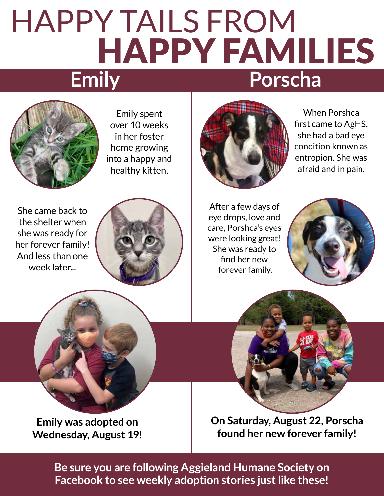# HAPPY TAILS FROM HAPPY FAMILIES **Porscha Emily**



Emily spent over 10 weeks in her foster home growing into a happy and healthy kitten.

She came back to the shelter when she was ready for her forever family! And less than one week later...





When Porshca first came to AgHS, she had a bad eye condition known as entropion. She was afraid and in pain.

After a few days of eye drops, love and care, Porshca's eyes were looking great! She was ready to find her new forever family.





**Emily was adopted on Wednesday, August 19!** **On Saturday, August 22, Porscha found her new forever family!**

**Be sure you are following Aggieland Humane Society on Facebook to see weekly adoption stories just like these!**